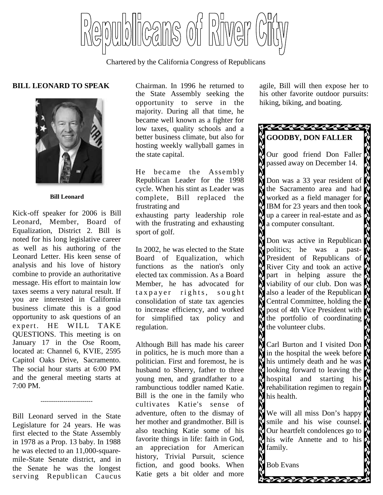llcans of bliwer

Chartered by the California Congress of Republicans

#### **BILL LEONARD TO SPEAK**



**Bill Leonard**

Kick-off speaker for 2006 is Bill Leonard, Member, Board of Equalization, District 2. Bill is noted for his long legislative career as well as his authoring of the Leonard Letter. His keen sense of analysis and his love of history combine to provide an authoritative message. His effort to maintain low taxes seems a very natural result. If you are interested in California business climate this is a good opportunity to ask questions of an expert. HE WILL TAKE QUESTIONS. This meeting is on January 17 in the Ose Room, located at: Channel 6, KVIE, 2595 Capitol Oaks Drive, Sacramento. The social hour starts at 6:00 PM and the general meeting starts at 7:00 PM.

Bill Leonard served in the State Legislature for 24 years. He was first elected to the State Assembly in 1978 as a Prop. 13 baby. In 1988 he was elected to an 11,000-squaremile-State Senate district, and in the Senate he was the longest serving Republican Caucus

-------------------------

Chairman. In 1996 he returned to the State Assembly seeking the opportunity to serve in the majority. During all that time, he became well known as a fighter for low taxes, quality schools and a better business climate, but also for hosting weekly wallyball games in the state capital.

He became the Assembly Republican Leader for the 1998 cycle. When his stint as Leader was complete, Bill replaced the frustrating and exhausting party leadership role with the frustrating and exhausting sport of golf.

In 2002, he was elected to the State Board of Equalization, which functions as the nation's only elected tax commission. As a Board Member, he has advocated for t a x p a y er rights, sought consolidation of state tax agencies to increase efficiency, and worked for simplified tax policy and regulation.

Although Bill has made his career in politics, he is much more than a politician. First and foremost, he is husband to Sherry, father to three young men, and grandfather to a rambunctious toddler named Katie. Bill is the one in the family who cultivates Katie's sense of adventure, often to the dismay of her mother and grandmother. Bill is also teaching Katie some of his favorite things in life: faith in God, an appreciation for American history, Trivial Pursuit, science fiction, and good books. When Katie gets a bit older and more

agile, Bill will then expose her to his other favorite outdoor pursuits: hiking, biking, and boating.

# **GOODBY, DON FALLER**

Our good friend Don Faller passed away on December 14.

Don was a 33 year resident of the Sacramento area and had worked as a field manager for IBM for 23 years and then took up a career in real-estate and as  $\phi$ a computer consultant.

Don was active in Republican politics; he was a past-President of Republicans of  $\mathbb{R}^3$ River City and took an active  $\phi$ part in helping assure the viability of our club. Don was also a leader of the Republican Central Committee, holding the post of 4th Vice President with the portfolio of coordinating  $\alpha$ the volunteer clubs.

Carl Burton and I visited Don in the hospital the week before  $\mathbb N$ his untimely death and he was looking forward to leaving the  $\alpha$ hospital and starting his rehabilitation regimen to regain his health.

We will all miss Don's happy smile and his wise counsel. Our heartfelt condolences go to his wife Annette and to his family.

Bob Evans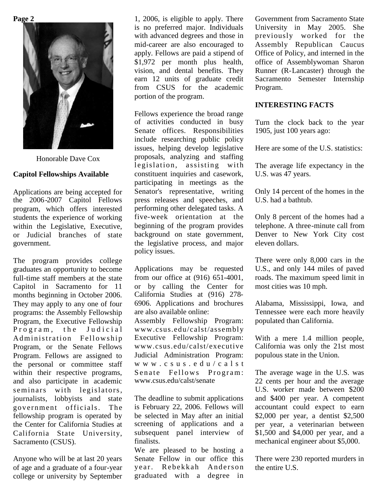**Page 2**



Honorable Dave Cox

#### **Capitol Fellowships Available**

Applications are being accepted for the 2006-2007 Capitol Fellows program, which offers interested students the experience of working within the Legislative, Executive, or Judicial branches of state government.

The program provides college graduates an opportunity to become full-time staff members at the state Capitol in Sacramento for 11 months beginning in October 2006. They may apply to any one of four programs: the Assembly Fellowship Program, the Executive Fellowship Program, the Judicial Administration Fellowship Program, or the Senate Fellows Program. Fellows are assigned to the personal or committee staff within their respective programs, and also participate in academic seminars with legislators, journalists, lobbyists and state government officials. The fellowship program is operated by the Center for California Studies at California State University, Sacramento (CSUS).

Anyone who will be at last 20 years of age and a graduate of a four-year college or university by September

1, 2006, is eligible to apply. There is no preferred major. Individuals with advanced degrees and those in mid-career are also encouraged to apply. Fellows are paid a stipend of \$1,972 per month plus health, vision, and dental benefits. They earn 12 units of graduate credit from CSUS for the academic portion of the program.

Fellows experience the broad range of activities conducted in busy Senate offices. Responsibilities include researching public policy issues, helping develop legislative proposals, analyzing and staffing legislation, assisting with constituent inquiries and casework, participating in meetings as the Senator's representative, writing press releases and speeches, and performing other delegated tasks. A five-week orientation at the beginning of the program provides background on state government, the legislative process, and major policy issues.

Applications may be requested from our office at (916) 651-4001, or by calling the Center for California Studies at (916) 278- 6906. Applications and brochures are also available online: Assembly Fellowship Program: www.csus.edu/calst/assembly Executive Fellowship Program: www.csus.edu/calst/executive Judicial Administration Program: w w w . c s u s . e d u / c a l s t Senate Fellows Program: www.csus.edu/calst/senate

The deadline to submit applications is February 22, 2006. Fellows will be selected in May after an initial screening of applications and a subsequent panel interview of finalists.

We are pleased to be hosting a Senate Fellow in our office this year. Rebekkah Anderson graduated with a degree in

Government from Sacramento State University in May 2005. She previously worked for the Assembly Republican Caucus Office of Policy, and interned in the office of Assemblywoman Sharon Runner (R-Lancaster) through the Sacramento Semester Internship Program.

#### **INTERESTING FACTS**

Turn the clock back to the year 1905, just 100 years ago:

Here are some of the U.S. statistics:

The average life expectancy in the U.S. was 47 years.

Only 14 percent of the homes in the U.S. had a bathtub.

Only 8 percent of the homes had a telephone. A three-minute call from Denver to New York City cost eleven dollars.

There were only 8,000 cars in the U.S., and only 144 miles of paved roads. The maximum speed limit in most cities was 10 mph.

Alabama, Mississippi, Iowa, and Tennessee were each more heavily populated than California.

With a mere 1.4 million people, California was only the 21st most populous state in the Union.

The average wage in the U.S. was 22 cents per hour and the average U.S. worker made between \$200 and \$400 per year. A competent accountant could expect to earn \$2,000 per year, a dentist \$2,500 per year, a veterinarian between \$1,500 and \$4,000 per year, and a mechanical engineer about \$5,000.

There were 230 reported murders in the entire U.S.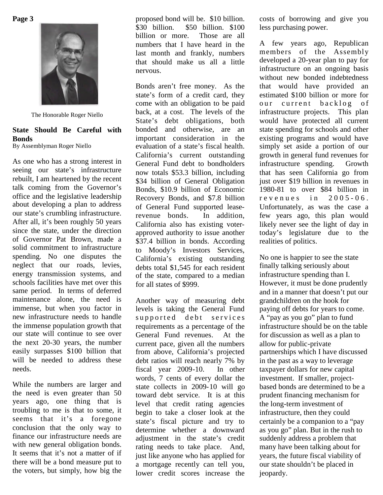**Page 3**



The Honorable Roger Niello

### **State Should Be Careful with Bonds**

By Assemblyman Roger Niello

As one who has a strong interest in seeing our state's infrastructure rebuilt, I am heartened by the recent talk coming from the Governor's office and the legislative leadership about developing a plan to address our state's crumbling infrastructure. After all, it's been roughly 50 years since the state, under the direction of Governor Pat Brown, made a solid commitment to infrastructure spending. No one disputes the neglect that our roads, levies, energy transmission systems, and schools facilities have met over this same period. In terms of deferred maintenance alone, the need is immense, but when you factor in new infrastructure needs to handle the immense population growth that our state will continue to see over the next 20-30 years, the number easily surpasses \$100 billion that will be needed to address these needs.

While the numbers are larger and the need is even greater than 50 years ago, one thing that is troubling to me is that to some, it seems that it's a foregone conclusion that the only way to finance our infrastructure needs are with new general obligation bonds. It seems that it's not a matter of if there will be a bond measure put to the voters, but simply, how big the

proposed bond will be. \$10 billion. \$30 billion. \$50 billion. \$100 billion or more. Those are all numbers that I have heard in the last month and frankly, numbers that should make us all a little nervous.

Bonds aren't free money. As the state's form of a credit card, they come with an obligation to be paid back, at a cost. The levels of the State's debt obligations, both bonded and otherwise, are an important consideration in the evaluation of a state's fiscal health. California's current outstanding General Fund debt to bondholders now totals \$53.3 billion, including \$34 billion of General Obligation Bonds, \$10.9 billion of Economic Recovery Bonds, and \$7.8 billion of General Fund supported leaserevenue bonds. In addition, California also has existing voterapproved authority to issue another \$37.4 billion in bonds. According to Moody's Investors Services, California's existing outstanding debts total \$1,545 for each resident of the state, compared to a median for all states of \$999.

Another way of measuring debt levels is taking the General Fund supported debt services requirements as a percentage of the General Fund revenues. At the current pace, given all the numbers from above, California's projected debt ratios will reach nearly 7% by fiscal year 2009-10. In other words, 7 cents of every dollar the state collects in 2009-10 will go toward debt service. It is at this level that credit rating agencies begin to take a closer look at the state's fiscal picture and try to determine whether a downward adjustment in the state's credit rating needs to take place. And, just like anyone who has applied for a mortgage recently can tell you, lower credit scores increase the

costs of borrowing and give you less purchasing power.

A few years ago, Republican members of the Assembly developed a 20-year plan to pay for infrastructure on an ongoing basis without new bonded indebtedness that would have provided an estimated \$100 billion or more for our current backlog of infrastructure projects. This plan would have protected all current state spending for schools and other existing programs and would have simply set aside a portion of our growth in general fund revenues for infrastructure spending. Growth that has seen California go from just over \$19 billion in revenues in 1980-81 to over \$84 billion in  $re$  v e nues in  $2005 - 06$ . Unfortunately, as was the case a few years ago, this plan would likely never see the light of day in today's legislature due to the realities of politics.

No one is happier to see the state finally talking seriously about infrastructure spending than I. However, it must be done prudently and in a manner that doesn't put our grandchildren on the hook for paying off debts for years to come. A "pay as you go" plan to fund infrastructure should be on the table for discussion as well as a plan to allow for public-private partnerships which I have discussed in the past as a way to leverage taxpayer dollars for new capital investment. If smaller, projectbased bonds are determined to be a prudent financing mechanism for the long-term investment of infrastructure, then they could certainly be a companion to a "pay as you go" plan. But in the rush to suddenly address a problem that many have been talking about for years, the future fiscal viability of our state shouldn't be placed in jeopardy.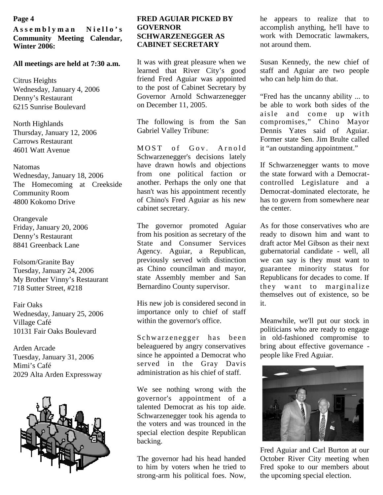**A s s e m b l y m a n N i e l l o ' s Community Meeting Calendar, Winter 2006:**

#### **All meetings are held at 7:30 a.m.**

Citrus Heights Wednesday, January 4, 2006 Denny's Restaurant 6215 Sunrise Boulevard

North Highlands Thursday, January 12, 2006 Carrows Restaurant 4601 Watt Avenue

Natomas Wednesday, January 18, 2006 The Homecoming at Creekside Community Room 4800 Kokomo Drive

Orangevale Friday, January 20, 2006 Denny's Restaurant 8841 Greenback Lane

Folsom/Granite Bay Tuesday, January 24, 2006 My Brother Vinny's Restaurant 718 Sutter Street, #218

Fair Oaks Wednesday, January 25, 2006 Village Café 10131 Fair Oaks Boulevard

Arden Arcade Tuesday, January 31, 2006 Mimi's Café 2029 Alta Arden Expressway



#### **FRED AGUIAR PICKED BY GOVERNOR SCHWARZENEGGER AS CABINET SECRETARY**

It was with great pleasure when we learned that River City's good friend Fred Aguiar was appointed to the post of Cabinet Secretary by Governor Arnold Schwarzenegger on December 11, 2005.

The following is from the San Gabriel Valley Tribune:

MOST of Goy, Arnold Schwarzenegger's decisions lately have drawn howls and objections from one political faction or another. Perhaps the only one that hasn't was his appointment recently of Chino's Fred Aguiar as his new cabinet secretary.

The governor promoted Aguiar from his position as secretary of the State and Consumer Services Agency. Aguiar, a Republican, previously served with distinction as Chino councilman and mayor, state Assembly member and San Bernardino County supervisor.

His new job is considered second in importance only to chief of staff within the governor's office.

Schwarzenegger has been beleaguered by angry conservatives since he appointed a Democrat who served in the Gray Davis administration as his chief of staff.

We see nothing wrong with the governor's appointment of a talented Democrat as his top aide. Schwarzenegger took his agenda to the voters and was trounced in the special election despite Republican backing.

The governor had his head handed to him by voters when he tried to strong-arm his political foes. Now,

**Page 4 he appears 1.1 Page 4 he appears to realize that to Page 4 he appears to realize that to** accomplish anything, he'll have to work with Democratic lawmakers. not around them.

> Susan Kennedy, the new chief of staff and Aguiar are two people who can help him do that.

> "Fred has the uncanny ability ... to be able to work both sides of the aisle and come up with compromises," Chino Mayor Dennis Yates said of Aguiar. Former state Sen. Jim Brulte called it "an outstanding appointment."

> If Schwarzenegger wants to move the state forward with a Democratcontrolled Legislature and a Democrat-dominated electorate, he has to govern from somewhere near the center.

> As for those conservatives who are ready to disown him and want to draft actor Mel Gibson as their next gubernatorial candidate - well, all we can say is they must want to guarantee minority status for Republicans for decades to come. If they want to marginalize themselves out of existence, so be it.

> Meanwhile, we'll put our stock in politicians who are ready to engage in old-fashioned compromise to bring about effective governance people like Fred Aguiar.



Fred Aguiar and Carl Burton at our October River City meeting when Fred spoke to our members about the upcoming special election.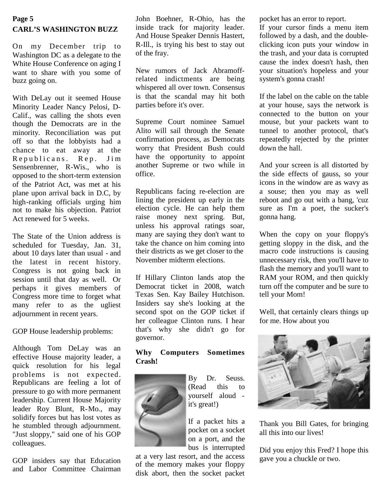# **Page 5 CARL'S WASHINGTON BUZZ**

On my December trip to Washington DC as a delegate to the White House Conference on aging I want to share with you some of buzz going on.

With DeLay out it seemed House Minority Leader Nancy Pelosi, D-Calif., was calling the shots even though the Democrats are in the minority. Reconciliation was put off so that the lobbyists had a chance to eat away at the Republicans. Rep. Jim Sensenbrenner, R-Wis., who is opposed to the short-term extension of the Patriot Act, was met at his plane upon arrival back in D.C, by high-ranking officials urging him not to make his objection. Patriot Act renewed for 5 weeks.

The State of the Union address is scheduled for Tuesday, Jan. 31, about 10 days later than usual - and the latest in recent history. Congress is not going back in session until that day as well. Or perhaps it gives members of Congress more time to forget what many refer to as the ugliest adjournment in recent years.

GOP House leadership problems:

Although Tom DeLay was an effective House majority leader, a quick resolution for his legal problems is not expected. Republicans are feeling a lot of pressure to go with more permanent leadership. Current House Majority leader Roy Blunt, R-Mo., may solidify forces but has lost votes as he stumbled through adjournment. "Just sloppy," said one of his GOP colleagues.

GOP insiders say that Education and Labor Committee Chairman John Boehner, R-Ohio, has the inside track for majority leader. And House Speaker Dennis Hastert, R-Ill., is trying his best to stay out of the fray.

New rumors of Jack Abramoffrelated indictments are being whispered all over town. Consensus is that the scandal may hit both parties before it's over.

Supreme Court nominee Samuel Alito will sail through the Senate confirmation process, as Democrats worry that President Bush could have the opportunity to appoint another Supreme or two while in office.

Republicans facing re-election are lining the president up early in the election cycle. He can help them raise money next spring. But, unless his approval ratings soar, many are saying they don't want to take the chance on him coming into their districts as we get closer to the November midterm elections.

If Hillary Clinton lands atop the Democrat ticket in 2008, watch Texas Sen. Kay Bailey Hutchison. Insiders say she's looking at the second spot on the GOP ticket if her colleague Clinton runs. I hear that's why she didn't go for governor.

# **Why Computers Sometimes Crash!**



By Dr. Seuss. (Read this to yourself aloud it's great!)

If a packet hits a pocket on a socket on a port, and the bus is interrupted

at a very last resort, and the access of the memory makes your floppy disk abort, then the socket packet pocket has an error to report.

If your cursor finds a menu item followed by a dash, and the doubleclicking icon puts your window in the trash, and your data is corrupted cause the index doesn't hash, then your situation's hopeless and your system's gonna crash!

If the label on the cable on the table at your house, says the network is connected to the button on your mouse, but your packets want to tunnel to another protocol, that's repeatedly rejected by the printer down the hall.

And your screen is all distorted by the side effects of gauss, so your icons in the window are as wavy as a souse; then you may as well reboot and go out with a bang, 'cuz sure as I'm a poet, the sucker's gonna hang.

When the copy on your floppy's getting sloppy in the disk, and the macro code instructions is causing unnecessary risk, then you'll have to flash the memory and you'll want to RAM your ROM, and then quickly turn off the computer and be sure to tell your Mom!

Well, that certainly clears things up for me. How about you



Thank you Bill Gates, for bringing all this into our lives!

Did you enjoy this Fred? I hope this gave you a chuckle or two.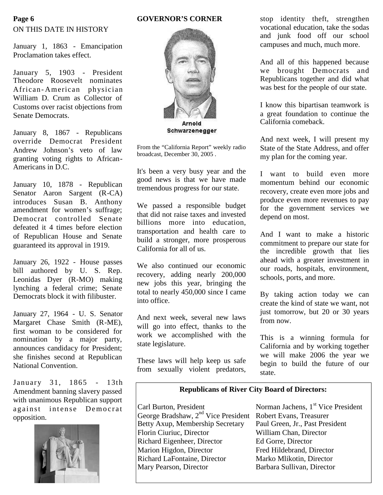#### **GOVERNOR'S CORNER**

# ON THIS DATE IN HISTORY **Page 6**

January 1, 1863 - Emancipation Proclamation takes effect.

January 5, 1903 - President Theodore Roosevelt nominates African- American physician William D. Crum as Collector of Customs over racist objections from Senate Democrats.

January 8, 1867 - Republicans override Democrat President Andrew Johnson's veto of law granting voting rights to African-Americans in D.C.

January 10, 1878 - Republican Senator Aaron Sargent (R-CA) introduces Susan B. Anthony amendment for women's suffrage; Democrat controlled Senate defeated it 4 times before election of Republican House and Senate guaranteed its approval in 1919.

January 26, 1922 - House passes bill authored by U. S. Rep. Leonidas Dyer (R-MO) making lynching a federal crime; Senate Democrats block it with filibuster.

January 27, 1964 - U. S. Senator Margaret Chase Smith (R-ME), first woman to be considered for nomination by a major party, announces candidacy for President; she finishes second at Republican National Convention.

January 31, 1865 - 13th Amendment banning slavery passed with unanimous Republican support  $a$  gainst intense Democrat  $\begin{array}{c|c}\n\hline\n\text{Card But} & \text{Part But} \\
\hline\n\end{array}$ opposition.





Schwarzenegger

From the "California Report" weekly radio broadcast, December 30, 2005 .

It's been a very busy year and the good news is that we have made tremendous progress for our state.

We passed a responsible budget that did not raise taxes and invested billions more into education, transportation and health care to build a stronger, more prosperous California for all of us.

We also continued our economic recovery, adding nearly 200,000 new jobs this year, bringing the total to nearly 450,000 since I came into office.

And next week, several new laws will go into effect, thanks to the work we accomplished with the state legislature.

These laws will help keep us safe from sexually violent predators, stop identity theft, strengthen vocational education, take the sodas and junk food off our school campuses and much, much more.

And all of this happened because we brought Democrats and Republicans together and did what was best for the people of our state.

I know this bipartisan teamwork is a great foundation to continue the California comeback.

And next week, I will present my State of the State Address, and offer my plan for the coming year.

I want to build even more momentum behind our economic recovery, create even more jobs and produce even more revenues to pay for the government services we depend on most.

And I want to make a historic commitment to prepare our state for the incredible growth that lies ahead with a greater investment in our roads, hospitals, environment, schools, ports, and more.

By taking action today we can create the kind of state we want, not just tomorrow, but 20 or 30 years from now.

This is a winning formula for California and by working together we will make 2006 the year we begin to build the future of our state.

# **Republicans of River City Board of Directors:**

George Bradshaw, 2<sup>nd</sup> Vice President Robert Evans, Treasurer<br>Betty Axup, Membership Secretary Paul Green, Jr., Past President Betty Axup, Membership Secretary Florin Ciuriuc, Director William Chan, Director Richard Eigenheer, Director Ed Gorre, Director Marion Higdon, Director Fred Hildebrand, Director Richard LaFontaine, Director Marko Mlikotin, Director<br>Mary Pearson, Director Barbara Sullivan, Director

Norman Jachens, 1<sup>st</sup> Vice President Barbara Sullivan, Director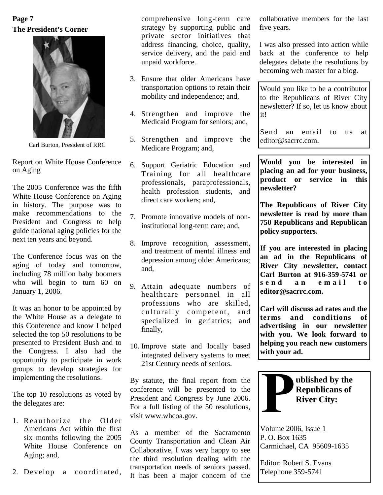# **The President's Corner Page 7**



Carl Burton, President of RRC

Report on White House Conference on Aging

The 2005 Conference was the fifth White House Conference on Aging in history. The purpose was to make recommendations to the President and Congress to help guide national aging policies for the next ten years and beyond.

The Conference focus was on the aging of today and tomorrow, including 78 million baby boomers who will begin to turn 60 on January 1, 2006.

It was an honor to be appointed by the White House as a delegate to this Conference and know I helped selected the top 50 resolutions to be presented to President Bush and to the Congress. I also had the opportunity to participate in work groups to develop strategies for implementing the resolutions.

The top 10 resolutions as voted by the delegates are:

- 1. Reauthorize the Older Americans Act within the first six months following the 2005 White House Conference on Aging; and,
- 2. Develop a coordinated,

comprehensive long-term care strategy by supporting public and private sector initiatives that address financing, choice, quality, service delivery, and the paid and unpaid workforce.

- 3. Ensure that older Americans have transportation options to retain their mobility and independence; and,
- 4. Strengthen and improve the Medicaid Program for seniors; and,
- 5. Strengthen and improve the Medicare Program; and,
- 6. Support Geriatric Education and Training for all healthcare professionals, paraprofessionals, health profession students, and direct care workers; and,
- 7. Promote innovative models of noninstitutional long-term care; and,
- 8. Improve recognition, assessment, and treatment of mental illness and depression among older Americans; and,
- 9. Attain adequate numbers of  $\begin{vmatrix} s & n & d \\ n & n \end{vmatrix}$ healthcare personnel in all professions who are skilled, culturally competent, and specialized in geriatrics; and finally,
- 10. Improve state and locally based integrated delivery systems to meet 21st Century needs of seniors.

By statute, the final report from the conference will be presented to the President and Congress by June 2006. For a full listing of the 50 resolutions, visit www.whcoa.gov.

As a member of the Sacramento County Transportation and Clean Air Collaborative, I was very happy to see the third resolution dealing with the transportation needs of seniors passed. It has been a major concern of the collaborative members for the last five years.

I was also pressed into action while back at the conference to help delegates debate the resolutions by becoming web master for a blog.

Would you like to be a contributor to the Republicans of River City newsletter? If so, let us know about it!

Send an email to us at editor@sacrrc.com.

**Would you be interested in placing an ad for your business, product or service in this newsletter?**

**The Republicans of River City newsletter is read by more than 750 Republicans and Republican policy supporters.**

**If you are interested in placing an ad in the Republicans of River City newsletter, contact Carl Burton at 916-359-5741 or s e n d a n e m a i l t o editor@sacrrc.com.**

**Carl will discuss ad rates and the terms and conditions of advertising in our newsletter with you. We look forward to helping you reach new customers with your ad.**



Volume 2006, Issue 1 P. O. Box 1635 Carmichael, CA 95609-1635

Editor: Robert S. Evans Telephone 359-5741